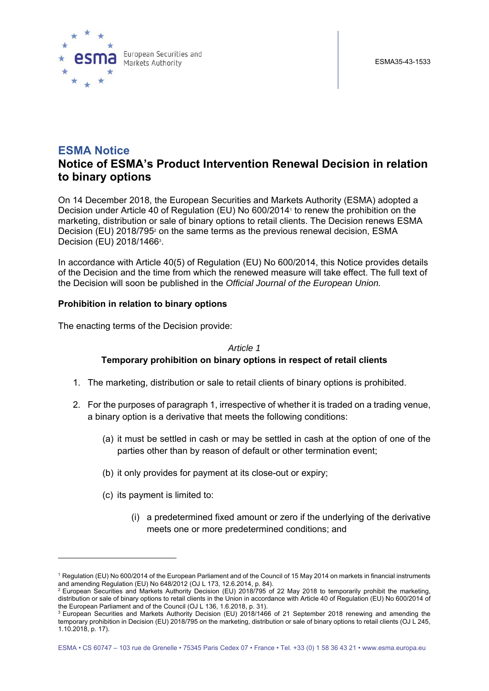

# **ESMA Notice Notice of ESMA's Product Intervention Renewal Decision in relation to binary options**

On 14 December 2018, the European Securities and Markets Authority (ESMA) adopted a Decision under Article 40 of Regulation (EU) No 600/2014<sup>1</sup> to renew the prohibition on the marketing, distribution or sale of binary options to retail clients. The Decision renews ESMA Decision (EU) 2018/795<sup>2</sup> on the same terms as the previous renewal decision, ESMA Decision (EU) 2018/1466<sup>3</sup>.

In accordance with Article 40(5) of Regulation (EU) No 600/2014, this Notice provides details of the Decision and the time from which the renewed measure will take effect. The full text of the Decision will soon be published in the *Official Journal of the European Union.*

#### **Prohibition in relation to binary options**

The enacting terms of the Decision provide:

*Article 1* 

#### **Temporary prohibition on binary options in respect of retail clients**

- 1. The marketing, distribution or sale to retail clients of binary options is prohibited.
- 2. For the purposes of paragraph 1, irrespective of whether it is traded on a trading venue, a binary option is a derivative that meets the following conditions:
	- (a) it must be settled in cash or may be settled in cash at the option of one of the parties other than by reason of default or other termination event;
	- (b) it only provides for payment at its close-out or expiry;
	- (c) its payment is limited to:

1

(i) a predetermined fixed amount or zero if the underlying of the derivative meets one or more predetermined conditions; and

<sup>1</sup> Regulation (EU) No 600/2014 of the European Parliament and of the Council of 15 May 2014 on markets in financial instruments and amending Regulation (EU) No 648/2012 (OJ L 173, 12.6.2014, p. 84). 2 The Law Profession Securities and Markets Authority Decision (EU) 2018/795 of 22 May 2018 to temporarily prohibit the marketing,

distribution or sale of binary options to retail clients in the Union in accordance with Article 40 of Regulation (EU) No 600/2014 of<br>the European Parliament and of the Council (OJ L 136, 1.6.2018, p. 31).

 $3$  European Securities and Markets Authority Decision (EU) 2018/1466 of 21 September 2018 renewing and amending the temporary prohibition in Decision (EU) 2018/795 on the marketing, distribution or sale of binary options to retail clients (OJ L 245, 1.10.2018, p. 17).